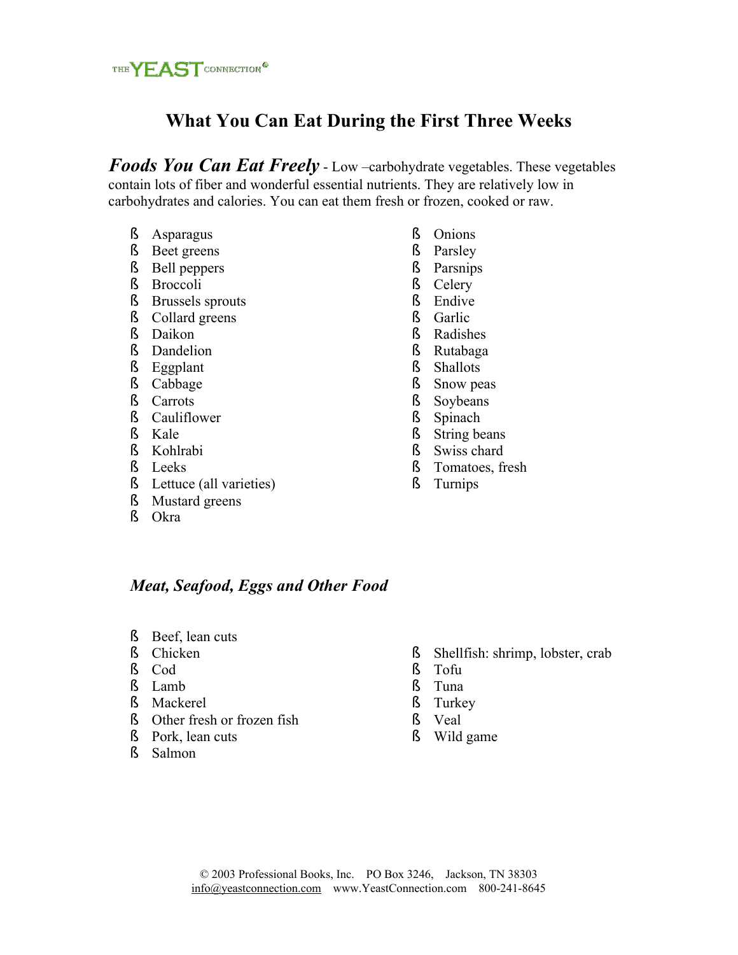

# **What You Can Eat During the First Three Weeks**

*Foods You Can Eat Freely* - Low –carbohydrate vegetables. These vegetables contain lots of fiber and wonderful essential nutrients. They are relatively low in carbohydrates and calories. You can eat them fresh or frozen, cooked or raw.

- ß Asparagus
- ß Beet greens
- ß Bell peppers
- ß Broccoli
- ß Brussels sprouts
- ß Collard greens
- ß Daikon
- ß Dandelion
- ß Eggplant
- ß Cabbage
- ß Carrots
- ß Cauliflower
- ß Kale
- ß Kohlrabi
- ß Leeks
- ß Lettuce (all varieties)
- ß Mustard greens
- ß Okra
- ß Onions
- ß Parsley
- ß Parsnips
- ß Celery
- ß Endive
- ß Garlic
- ß Radishes
- ß Rutabaga
- ß Shallots
- ß Snow peas
- ß Soybeans
- ß Spinach
- ß String beans
- ß Swiss chard
- ß Tomatoes, fresh
- ß Turnips

### *Meat, Seafood, Eggs and Other Food*

- ß Beef, lean cuts
- ß Chicken
- ß Cod
- ß Lamb
- ß Mackerel
- ß Other fresh or frozen fish
- ß Pork, lean cuts
- ß Salmon
- ß Shellfish: shrimp, lobster, crab
- ß Tofu
- ß Tuna
- ß Turkey
- ß Veal
- ß Wild game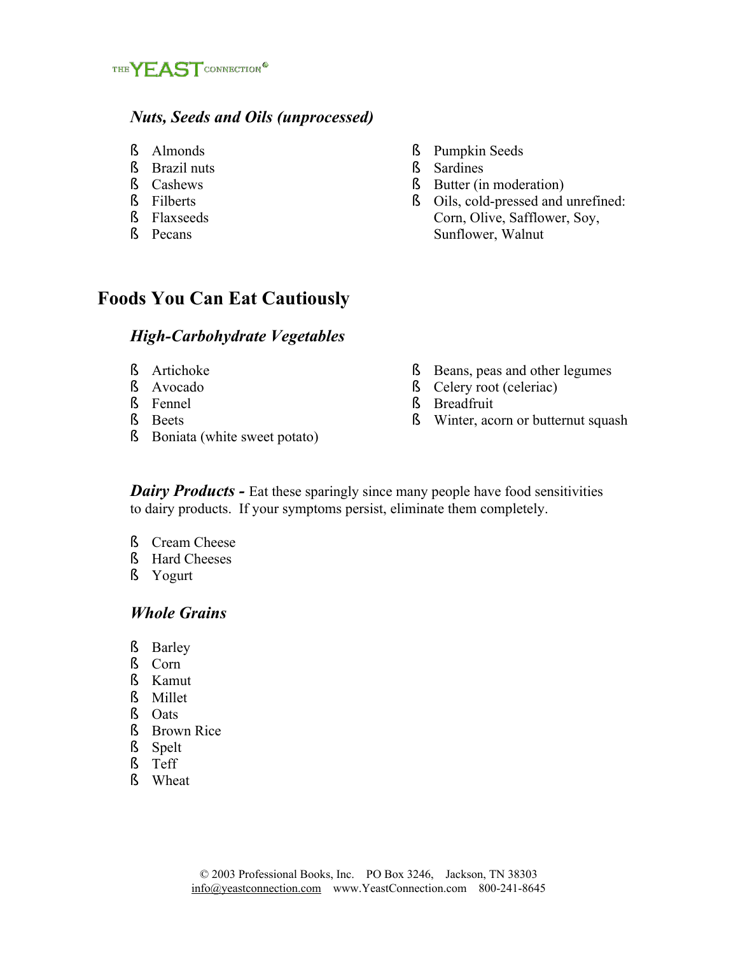

### *Nuts, Seeds and Oils (unprocessed)*

- ß Almonds
- ß Brazil nuts
- ß Cashews
- ß Filberts
- ß Flaxseeds
- ß Pecans
- ß Pumpkin Seeds
- ß Sardines
- ß Butter (in moderation)
- ß Oils, cold-pressed and unrefined: Corn, Olive, Safflower, Soy, Sunflower, Walnut

## **Foods You Can Eat Cautiously**

#### *High-Carbohydrate Vegetables*

- ß Artichoke
- ß Avocado
- ß Fennel
- ß Beets
- ß Boniata (white sweet potato)
- ß Beans, peas and other legumes
- ß Celery root (celeriac)
- ß Breadfruit
- ß Winter, acorn or butternut squash

*Dairy Products - Eat these sparingly since many people have food sensitivities* to dairy products. If your symptoms persist, eliminate them completely.

- ß Cream Cheese
- ß Hard Cheeses
- ß Yogurt

#### *Whole Grains*

- ß Barley
- ß Corn
- ß Kamut
- ß Millet
- ß Oats
- ß Brown Rice
- ß Spelt
- ß Teff
- ß Wheat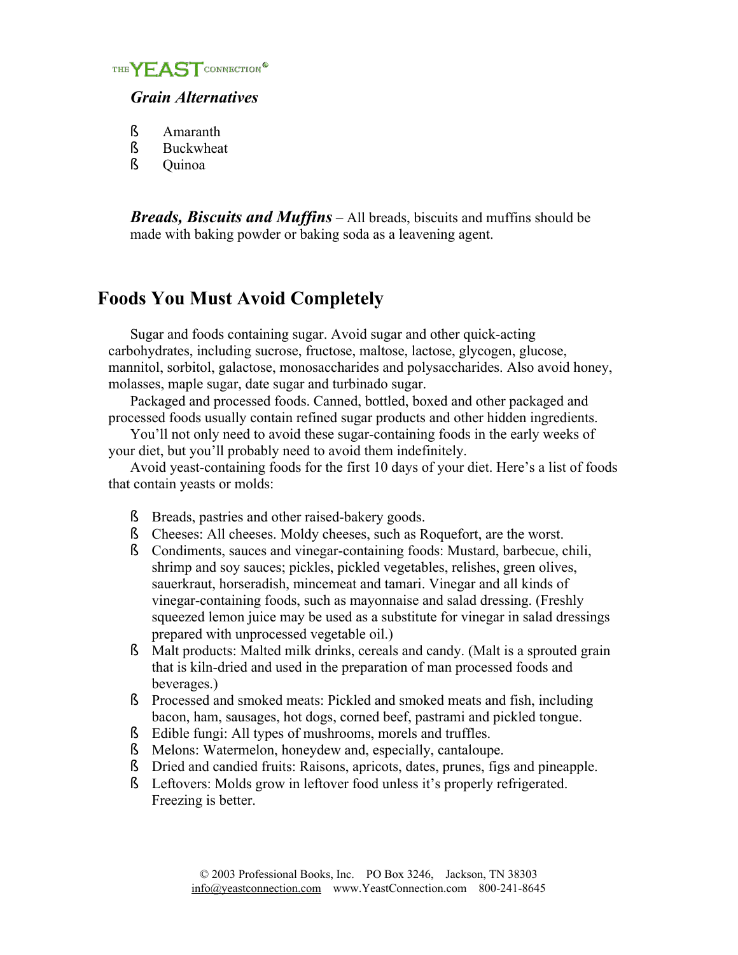

### *Grain Alternatives*

- ß Amaranth
- ß Buckwheat
- ß Quinoa

*Breads, Biscuits and Muffins* – All breads, biscuits and muffins should be made with baking powder or baking soda as a leavening agent.

# **Foods You Must Avoid Completely**

Sugar and foods containing sugar. Avoid sugar and other quick-acting carbohydrates, including sucrose, fructose, maltose, lactose, glycogen, glucose, mannitol, sorbitol, galactose, monosaccharides and polysaccharides. Also avoid honey, molasses, maple sugar, date sugar and turbinado sugar.

Packaged and processed foods. Canned, bottled, boxed and other packaged and processed foods usually contain refined sugar products and other hidden ingredients.

You'll not only need to avoid these sugar-containing foods in the early weeks of your diet, but you'll probably need to avoid them indefinitely.

Avoid yeast-containing foods for the first 10 days of your diet. Here's a list of foods that contain yeasts or molds:

- ß Breads, pastries and other raised-bakery goods.
- ß Cheeses: All cheeses. Moldy cheeses, such as Roquefort, are the worst.
- ß Condiments, sauces and vinegar-containing foods: Mustard, barbecue, chili, shrimp and soy sauces; pickles, pickled vegetables, relishes, green olives, sauerkraut, horseradish, mincemeat and tamari. Vinegar and all kinds of vinegar-containing foods, such as mayonnaise and salad dressing. (Freshly squeezed lemon juice may be used as a substitute for vinegar in salad dressings prepared with unprocessed vegetable oil.)
- ß Malt products: Malted milk drinks, cereals and candy. (Malt is a sprouted grain that is kiln-dried and used in the preparation of man processed foods and beverages.)
- ß Processed and smoked meats: Pickled and smoked meats and fish, including bacon, ham, sausages, hot dogs, corned beef, pastrami and pickled tongue.
- ß Edible fungi: All types of mushrooms, morels and truffles.
- ß Melons: Watermelon, honeydew and, especially, cantaloupe.
- ß Dried and candied fruits: Raisons, apricots, dates, prunes, figs and pineapple.
- ß Leftovers: Molds grow in leftover food unless it's properly refrigerated. Freezing is better.